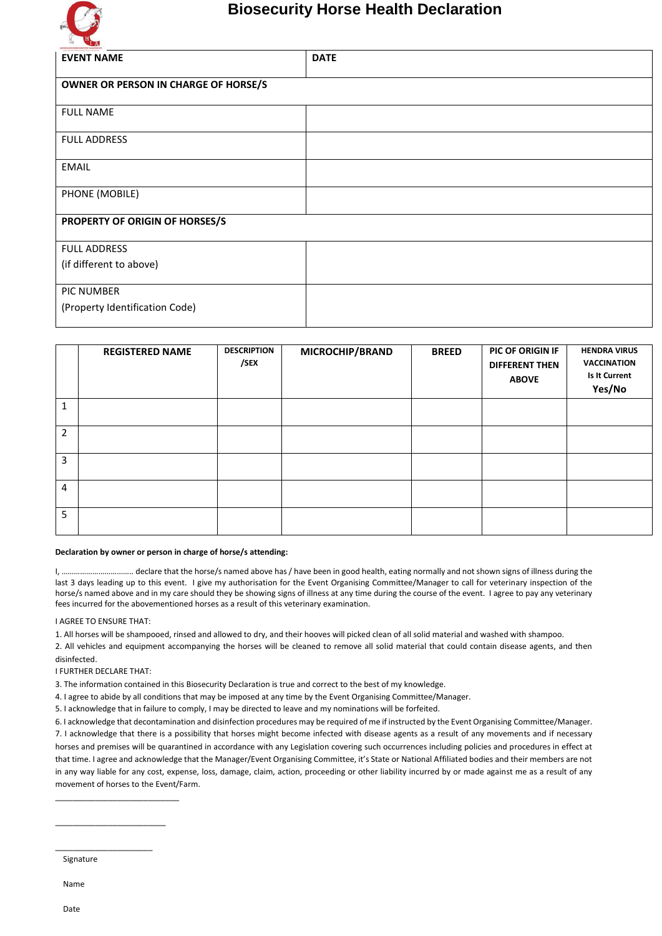

## **Biosecurity Horse Health Declaration**

| <b>QUEENLAND HOBIE INDUSTRY ALLIANCE INC.</b><br>Tracting the shareholded derive industry.<br><b>EVENT NAME</b> | <b>DATE</b> |  |  |  |  |
|-----------------------------------------------------------------------------------------------------------------|-------------|--|--|--|--|
| OWNER OR PERSON IN CHARGE OF HORSE/S                                                                            |             |  |  |  |  |
| <b>FULL NAME</b>                                                                                                |             |  |  |  |  |
| <b>FULL ADDRESS</b>                                                                                             |             |  |  |  |  |
| <b>EMAIL</b>                                                                                                    |             |  |  |  |  |
| PHONE (MOBILE)                                                                                                  |             |  |  |  |  |
| PROPERTY OF ORIGIN OF HORSES/S                                                                                  |             |  |  |  |  |
| <b>FULL ADDRESS</b>                                                                                             |             |  |  |  |  |
| (if different to above)                                                                                         |             |  |  |  |  |
| PIC NUMBER                                                                                                      |             |  |  |  |  |
| (Property Identification Code)                                                                                  |             |  |  |  |  |

|   | <b>REGISTERED NAME</b> | <b>DESCRIPTION</b><br>/SEX | MICROCHIP/BRAND | <b>BREED</b> | PIC OF ORIGIN IF<br><b>DIFFERENT THEN</b><br><b>ABOVE</b> | <b>HENDRA VIRUS</b><br>VACCINATION<br>Is It Current<br>Yes/No |
|---|------------------------|----------------------------|-----------------|--------------|-----------------------------------------------------------|---------------------------------------------------------------|
| 1 |                        |                            |                 |              |                                                           |                                                               |
| 2 |                        |                            |                 |              |                                                           |                                                               |
| 3 |                        |                            |                 |              |                                                           |                                                               |
| 4 |                        |                            |                 |              |                                                           |                                                               |
| 5 |                        |                            |                 |              |                                                           |                                                               |

## **Declaration by owner or person in charge of horse/s attending:**

I, …………………………….. declare that the horse/s named above has / have been in good health, eating normally and not shown signs of illness during the last 3 days leading up to this event. I give my authorisation for the Event Organising Committee/Manager to call for veterinary inspection of the horse/s named above and in my care should they be showing signs of illness at any time during the course of the event. I agree to pay any veterinary fees incurred for the abovementioned horses as a result of this veterinary examination.

I AGREE TO ENSURE THAT:

1. All horses will be shampooed, rinsed and allowed to dry, and their hooves will picked clean of all solid material and washed with shampoo.

2. All vehicles and equipment accompanying the horses will be cleaned to remove all solid material that could contain disease agents, and then disinfected.

I FURTHER DECLARE THAT:

\_\_\_\_\_\_\_\_\_\_\_\_\_\_\_\_\_\_\_\_\_\_\_\_\_\_\_\_

\_\_\_\_\_\_\_\_\_\_\_\_\_\_\_\_\_\_\_\_\_\_\_\_\_

\_\_\_\_\_\_\_\_\_\_\_\_\_\_\_\_\_\_\_\_\_\_

3. The information contained in this Biosecurity Declaration is true and correct to the best of my knowledge.

4. I agree to abide by all conditions that may be imposed at any time by the Event Organising Committee/Manager.

5. I acknowledge that in failure to comply, I may be directed to leave and my nominations will be forfeited.

6. I acknowledge that decontamination and disinfection procedures may be required of me if instructed by the Event Organising Committee/Manager. 7. I acknowledge that there is a possibility that horses might become infected with disease agents as a result of any movements and if necessary horses and premises will be quarantined in accordance with any Legislation covering such occurrences including policies and procedures in effect at that time. I agree and acknowledge that the Manager/Event Organising Committee, it's State or National Affiliated bodies and their members are not in any way liable for any cost, expense, loss, damage, claim, action, proceeding or other liability incurred by or made against me as a result of any movement of horses to the Event/Farm.

Signature

Name